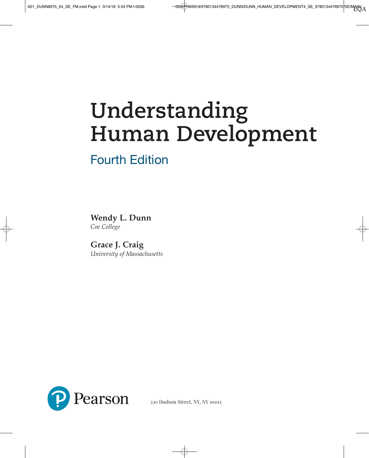# **Understanding Human Development**

## Fourth Edition

**Wendy L. Dunn** *Coe College*

**Grace J. Craig** *University of Massachusetts*



330 Hudson Street, NY, NY 10013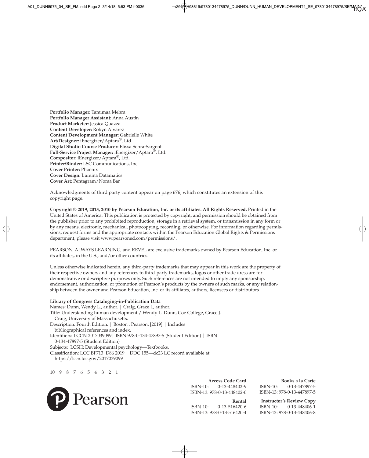**Portfolio Manager:** Tamimaa Mehra **Portfolio Manager Assistant:** Anna Austin **Product Marketer:** Jessica Quazza **Content Developer:** Robyn Alvarez **Content Development Manager:** Gabrielle White **Art/Designer:** iEnergizer/Aptara®, Ltd. **Digital Studio Course Producer:** Elissa Senra-Sargent **Full-Service Project Manager:** iEnergizer/Aptara®, Ltd. **Compositor:** iEnergizer/Aptara®, Ltd. **Printer/Binder:** LSC Communications, Inc. **Cover Printer:** Phoenix **Cover Design:** Lumina Datamatics **Cover Art:** Pentagram/Noma Bar

Acknowledgments of third party content appear on page 676, which constitutes an extension of this copyright page.

**Copyright © 2019, 2013, 2010 by Pearson Education, Inc. or its affiliates. All Rights Reserved.** Printed in the United States of America. This publication is protected by copyright, and permission should be obtained from the publisher prior to any prohibited reproduction, storage in a retrieval system, or transmission in any form or by any means, electronic, mechanical, photocopying, recording, or otherwise. For information regarding permissions, request forms and the appropriate contacts within the Pearson Education Global Rights & Permissions department, please visit www.pearsoned.com/permissions/.

PEARSON, ALWAYS LEARNING, and REVEL are exclusive trademarks owned by Pearson Education, Inc. or its affiliates, in the U.S., and/or other countries.

Unless otherwise indicated herein, any third-party trademarks that may appear in this work are the property of their respective owners and any references to third-party trademarks, logos or other trade dress are for demonstrative or descriptive purposes only. Such references are not intended to imply any sponsorship, endorsement, authorization, or promotion of Pearson's products by the owners of such marks, or any relationship between the owner and Pearson Education, Inc. or its affiliates, authors, licensees or distributors.

#### **Library of Congress Cataloging-in-Publication Data**

Names: Dunn, Wendy L., author. | Craig, Grace J., author. Title: Understanding human development / Wendy L. Dunn, Coe College, Grace J. Craig, University of Massachusetts. Description: Fourth Edition. | Boston : Pearson, [2019] | Includes bibliographical references and index. Identifiers: LCCN 2017039099| ISBN 978-0-134-47897-5 (Student Edition) | ISBN 0-134-47897-5 (Student Edition) Subjects: LCSH: Developmental psychology—Textbooks.

Classification: LCC BF713 .D86 2019 | DDC 155—dc23 LC record available at https://lccn.loc.gov/2017039099

10 9 8 7 6 5 4 3 2 1



**Access Code Card** ISBN-10: 0-13-448402-9 ISBN-13: 978-0-13-448402-0

**Rental** ISBN-10: 0-13-516420-6 ISBN-13: 978-0-13-516420-4

**Books a la Carte** ISBN-10: 0-13-447897-5 ISBN-13: 978-0-13-447897-5

**Instructor's Review Copy** ISBN-10: 0-13-448406-1 ISBN-13: 978-0-13-448406-8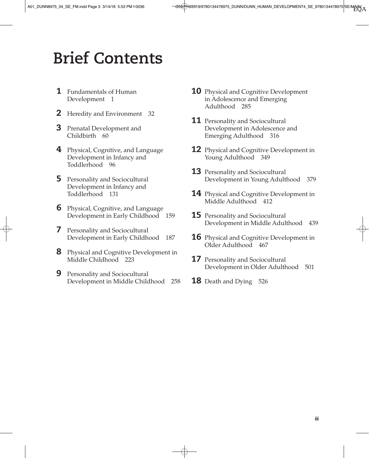## **Brief Contents**

- **1** Fundamentals of Human Development 1
- **2** Heredity and Environment 32
- **3** Prenatal Development and Childbirth 60
- 4 Physical, Cognitive, and Language Development in Infancy and Toddlerhood 96
- **5** Personality and Sociocultural Development in Infancy and Toddlerhood 131
- **6** Physical, Cognitive, and Language Development in Early Childhood 159
- *I* Personality and Sociocultural Development in Early Childhood 187
- **8** Physical and Cognitive Development in Middle Childhood 223
- **9** Personality and Sociocultural Development in Middle Childhood 258
- **10** Physical and Cognitive Development in Adolescence and Emerging Adulthood 285
- **11** Personality and Sociocultural Development in Adolescence and Emerging Adulthood 316
- **12** Physical and Cognitive Development in Young Adulthood 349
- **13** Personality and Sociocultural Development in Young Adulthood 379
- **14** Physical and Cognitive Development in Middle Adulthood 412
- **15** Personality and Sociocultural Development in Middle Adulthood 439
- **16** Physical and Cognitive Development in Older Adulthood 467
- **17** Personality and Sociocultural Development in Older Adulthood 501
- **18** Death and Dying 526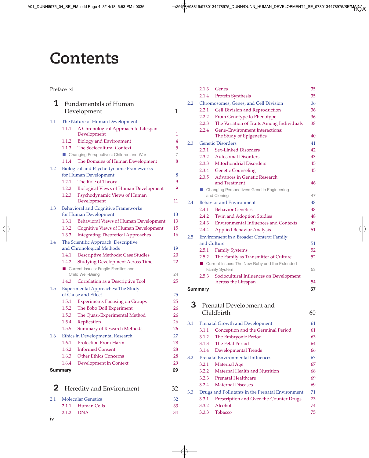## **Contents**

#### Preface xi

| 1            |                | <b>Fundamentals of Human</b>                                      |                |
|--------------|----------------|-------------------------------------------------------------------|----------------|
|              |                | Development                                                       | 1              |
| $1.1\,$      |                | The Nature of Human Development                                   | $\mathbf{1}$   |
|              | 1.1.1          | A Chronological Approach to Lifespan                              |                |
|              |                | Development                                                       | 1              |
|              | 1.1.2          | <b>Biology and Environment</b>                                    | 4              |
|              | 1.1.3          | The Sociocultural Context                                         | 5              |
|              |                | ■ Changing Perspectives: Children and War                         | $\overline{7}$ |
|              | 1.1.4          | The Domains of Human Development                                  | 8              |
| 1.2          |                | Biological and Psychodynamic Frameworks                           |                |
|              |                | for Human Development                                             | 8              |
|              | 1.2.1          | The Role of Theory                                                | 9              |
|              | 1.2.3          | 1.2.2 Biological Views of Human Development                       | 9              |
|              |                | Psychodynamic Views of Human<br>Development                       | 11             |
| 1.3          |                | <b>Behavioral and Cognitive Frameworks</b>                        |                |
|              |                | for Human Development                                             | 13             |
|              | 1.3.1          | Behavioral Views of Human Development                             | 13             |
|              | 1.3.2          | <b>Cognitive Views of Human Development</b>                       | 15             |
|              | 1.3.3          | <b>Integrating Theoretical Approaches</b>                         | 16             |
| 1.4          |                | The Scientific Approach: Descriptive                              |                |
|              |                | and Chronological Methods                                         | 19             |
|              | 1.4.1          | Descriptive Methods: Case Studies                                 | 20             |
|              | 1.4.2          | <b>Studying Development Across Time</b>                           | 22             |
|              |                | Current Issues: Fragile Families and                              |                |
|              |                | Child Well-Being                                                  | 24             |
|              | 1.4.3          | Correlation as a Descriptive Tool                                 | 25             |
| 1.5          |                | <b>Experimental Approaches: The Study</b>                         |                |
|              | 1.5.1          | of Cause and Effect                                               | 25<br>25       |
|              | 1.5.2          | <b>Experiments Focusing on Groups</b><br>The Bobo Doll Experiment | 26             |
|              | 1.5.3          | The Quasi-Experimental Method                                     | 26             |
|              | 1.5.4          | Replication                                                       | 26             |
|              | 1.5.5          | <b>Summary of Research Methods</b>                                | 26             |
| 1.6          |                | Ethics in Developmental Research                                  | 27             |
|              | 1.6.1          | <b>Protection From Harm</b>                                       | 28             |
|              | 1.6.2          | <b>Informed Consent</b>                                           | 28             |
|              | 1.6.3          | <b>Other Ethics Concerns</b>                                      | 28             |
|              | 1.6.4          | Development in Context                                            | 29             |
|              | <b>Summary</b> |                                                                   | 29             |
|              |                |                                                                   |                |
| $\mathbf{2}$ |                | Heredity and Environment                                          | 32             |
| 2.1          |                | <b>Molecular Genetics</b>                                         | 32             |
|              | 2.1.1          | <b>Human Cells</b>                                                | 33             |
|              | 2.1.2          | <b>DNA</b>                                                        | 34             |

|     | 2.1.3          | Genes                                                        | 35       |
|-----|----------------|--------------------------------------------------------------|----------|
|     | 2.1.4          | Protein Synthesis                                            | 35       |
| 2.2 |                | Chromosomes, Genes, and Cell Division                        | 36       |
|     | 2.2.1          | Cell Division and Reproduction                               | 36       |
|     | 2.2.2          | From Genotype to Phenotype                                   | 36       |
|     | 2.2.3          | The Variation of Traits Among Individuals                    | 38       |
|     | 2.2.4          | Gene-Environment Interactions:                               | 40       |
|     |                | The Study of Epigenetics<br><b>Genetic Disorders</b>         |          |
| 2.3 | 2.3.1          | <b>Sex-Linked Disorders</b>                                  | 41<br>42 |
|     |                |                                                              |          |
|     | 2.3.2<br>2.3.3 | <b>Autosomal Disorders</b><br><b>Mitochondrial Disorders</b> | 43<br>45 |
|     |                |                                                              |          |
|     | 2.3.4          | <b>Genetic Counseling</b>                                    | 45       |
|     | 2.3.5          | <b>Advances in Genetic Research</b><br>and Treatment         | 46       |
|     |                | Changing Perspectives: Genetic Engineering                   |          |
|     |                | and Cloning                                                  | 47       |
| 2.4 |                | <b>Behavior and Environment</b>                              | 48       |
|     | 2.4.1          | <b>Behavior Genetics</b>                                     | 48       |
|     | 2.4.2          | <b>Twin and Adoption Studies</b>                             | 48       |
|     | 2.4.3          | <b>Environmental Influences and Contexts</b>                 | 49       |
|     | 2.4.4          | <b>Applied Behavior Analysis</b>                             | 51       |
| 2.5 |                | <b>Environment in a Broader Context: Family</b>              |          |
|     |                | and Culture                                                  | 51       |
|     | 2.5.1          | <b>Family Systems</b>                                        | 52       |
|     | 2.5.2          | The Family as Transmitter of Culture                         | 52       |
|     |                | Current Issues: The New Baby and the Extended                |          |
|     |                | Family System                                                | 53       |
|     | 2.5.3          | Sociocultural Influences on Development                      |          |
|     |                | Across the Lifespan                                          | 54       |
|     | <b>Summary</b> |                                                              | 57       |
| 3   |                |                                                              |          |
|     |                | Prenatal Development and                                     |          |
|     |                | Childbirth                                                   | 60       |
| 3.1 |                | <b>Prenatal Growth and Development</b>                       | 61       |
|     | 3.1.1          | Conception and the Germinal Period                           | 61       |
|     | 3.1.2          | The Embryonic Period                                         | 63       |
|     | 3.1.3          | <b>The Fetal Period</b>                                      | 64       |
|     | 3.1.4          | <b>Developmental Trends</b>                                  | 66       |
| 3.2 |                | Prenatal Environmental Influences                            | 67       |

3.2.1 Maternal Age 67 3.2.2 Maternal Health and Nutrition 68 3.2.3 Prenatal Healthcare 69 3.2.4 Maternal Diseases 69 3.3 Drugs and Pollutants in the Prenatal Environment 71 3.3.1 Prescription and Over-the-Counter Drugs 73 3.3.2 Alcohol 74 3.3.3 Tobacco 75

iv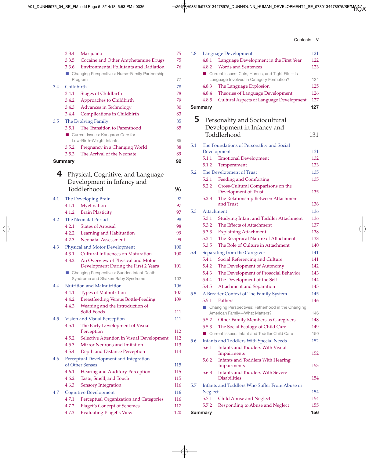A01\_DUNN8975\_04\_SE\_FM.indd Page 5 3/14/18 5:53 PM f-0036 */205/PH03319/9780134478975\_DUNN/DUNN\_HUMAN\_DEVELOPMENT4\_SE\_9780134478975*/SE/MAIN/ A

| Contents |  |
|----------|--|
|----------|--|

|     |                | 3.3.4 Marijuana                                                               | 75  |
|-----|----------------|-------------------------------------------------------------------------------|-----|
|     | 3.3.5          | Cocaine and Other Amphetamine Drugs                                           | 75  |
|     | 3.3.6          | <b>Environmental Pollutants and Radiation</b>                                 | 76  |
|     |                | ■ Changing Perspectives: Nurse-Family Partnership                             |     |
|     |                | Program                                                                       | 77  |
| 3.4 | Childbirth     |                                                                               | 78  |
|     | 3.4.1          | <b>Stages of Childbirth</b>                                                   | 78  |
|     | 3.4.2          | Approaches to Childbirth                                                      | 79  |
|     | 3.4.3          | Advances in Technology                                                        | 80  |
|     | 3.4.4          | Complications in Childbirth                                                   | 83  |
| 3.5 |                | The Evolving Family                                                           | 85  |
|     | 3.5.1          | The Transition to Parenthood                                                  | 85  |
|     |                | Current Issues: Kangaroo Care for                                             |     |
|     |                | Low-Birth-Weight Infants                                                      | 85  |
|     | 3.5.2          | Pregnancy in a Changing World                                                 | 88  |
|     | 3.5.3          | The Arrival of the Neonate                                                    | 89  |
|     | <b>Summary</b> |                                                                               | 92  |
| 4   |                |                                                                               |     |
|     |                | Physical, Cognitive, and Language                                             |     |
|     |                | Development in Infancy and                                                    |     |
|     |                | Toddlerhood                                                                   | 96  |
| 4.1 |                | The Developing Brain                                                          | 97  |
|     | 4.1.1          | Myelination                                                                   | 97  |
|     | 4.1.2          | <b>Brain Plasticity</b>                                                       | 97  |
| 4.2 |                | <b>The Neonatal Period</b>                                                    | 98  |
|     | 4.2.1          | <b>States of Arousal</b>                                                      | 98  |
|     |                | 4.2.2 Learning and Habituation                                                | 99  |
|     |                | 4.2.3 Neonatal Assessment                                                     | 99  |
| 4.3 |                | <b>Physical and Motor Development</b>                                         | 100 |
|     | 4.3.1          | Cultural Influences on Maturation                                             | 100 |
|     | 4.3.2          | An Overview of Physical and Motor                                             |     |
|     |                | Development During the First 2 Years                                          | 101 |
|     |                | Changing Perspectives: Sudden Infant Death                                    |     |
|     |                | Syndrome and Shaken Baby Syndrome                                             | 102 |
| 4.4 |                | Nutrition and Malnutrition                                                    | 106 |
|     | 4.4.1<br>4.4.2 | <b>Types of Malnutrition</b>                                                  | 107 |
|     | 4.4.3          | <b>Breastfeeding Versus Bottle-Feeding</b><br>Weaning and the Introduction of | 109 |
|     |                | Solid Foods                                                                   | 111 |
| 4.5 |                | Vision and Visual Perception                                                  | 111 |
|     | 4.5.1          | The Early Development of Visual                                               |     |
|     |                | Perception                                                                    | 112 |
|     | 4.5.2          | Selective Attention in Visual Development                                     | 112 |
|     | 4.5.3          | Mirror Neurons and Imitation                                                  | 113 |
|     | 4.5.4          | Depth and Distance Perception                                                 | 114 |
| 4.6 |                | Perceptual Development and Integration                                        |     |
|     |                | of Other Senses                                                               | 115 |
|     | 4.6.1          | Hearing and Auditory Perception                                               | 115 |
|     | 4.6.2          | Taste, Smell, and Touch                                                       | 115 |
|     | 4.6.3          | <b>Sensory Integration</b>                                                    | 116 |
| 4.7 |                | <b>Cognitive Development</b>                                                  | 116 |
|     | 4.7.1          | Perceptual Organization and Categories                                        | 116 |
|     | 4.7.2          | <b>Piaget's Concept of Schemes</b>                                            | 117 |
|     | 4.7.3          | <b>Evaluating Piaget's View</b>                                               | 120 |

| 4.8 |                | Language Development                                           | 121 |
|-----|----------------|----------------------------------------------------------------|-----|
|     | 4.8.1          | Language Development in the First Year                         | 122 |
|     | 4.8.2          | <b>Words and Sentences</b>                                     | 123 |
|     |                | Current Issues: Cats, Horses, and Tight Fits-Is                |     |
|     |                | Language Involved in Category Formation?                       | 124 |
|     | 4.8.3          | The Language Explosion                                         | 125 |
|     | 4.8.4          | Theories of Language Development                               | 126 |
|     | 4.8.5          | <b>Cultural Aspects of Language Development</b>                | 127 |
|     | <b>Summary</b> |                                                                | 127 |
| 5.  |                |                                                                |     |
|     |                | Personality and Sociocultural                                  |     |
|     |                | Development in Infancy and                                     |     |
|     |                | Toddlerhood                                                    | 131 |
| 5.1 |                | The Foundations of Personality and Social                      |     |
|     |                | Development                                                    | 131 |
|     | 5.1.1          | <b>Emotional Development</b>                                   | 132 |
|     | 5.1.2          | Temperament                                                    | 133 |
| 5.2 |                | The Development of Trust                                       | 135 |
|     | 5.2.1          | <b>Feeding and Comforting</b>                                  | 135 |
|     | 5.2.2          | Cross-Cultural Comparisons on the                              |     |
|     |                | Development of Trust                                           | 135 |
|     | 5.2.3          | The Relationship Between Attachment                            |     |
|     |                | and Trust                                                      | 136 |
| 5.3 |                | Attachment                                                     | 136 |
|     | 5.3.1          | <b>Studying Infant and Toddler Attachment</b>                  | 136 |
|     | 5.3.2          | The Effects of Attachment                                      | 137 |
|     | 5.3.3          | <b>Explaining Attachment</b>                                   | 138 |
|     | 5.3.4          | The Reciprocal Nature of Attachment                            | 138 |
|     | 5.3.5          | The Role of Culture in Attachment                              | 140 |
| 5.4 |                | Separating from the Caregiver                                  | 141 |
|     | 5.4.1          | Social Referencing and Culture                                 | 141 |
|     | 5.4.2          | The Development of Autonomy                                    | 142 |
|     | 5.4.3          | The Development of Prosocial Behavior                          | 143 |
|     | 5.4.4          | The Development of the Self                                    | 144 |
|     | 5.4.5          | <b>Attachment and Separation</b>                               | 145 |
| 5.5 |                | A Broader Context of The Family System                         | 145 |
|     | 5.5.1          | <b>Fathers</b>                                                 | 146 |
|     |                | Changing Perspectives: Fatherhood in the Changing              |     |
|     |                | American Family-What Matters?                                  | 146 |
|     | 5.5.2          | Other Family Members as Caregivers                             | 148 |
|     | 5.5.3          | The Social Ecology of Child Care                               | 149 |
|     | п              | Current Issues: Infant and Toddler Child Care                  | 150 |
| 5.6 |                | <b>Infants and Toddlers With Special Needs</b>                 | 152 |
|     | 5.6.1          | Infants and Toddlers With Visual                               |     |
|     |                | Impairments                                                    | 152 |
|     | 5.6.2          | <b>Infants and Toddlers With Hearing</b>                       |     |
|     |                | Impairments                                                    | 153 |
|     | 5.6.3          | <b>Infants and Toddlers With Severe</b><br><b>Disabilities</b> | 154 |
| 5.7 |                | Infants and Toddlers Who Suffer From Abuse or                  |     |
|     | Neglect        |                                                                | 154 |
|     | 5.7.1          | <b>Child Abuse and Neglect</b>                                 | 154 |
|     | 5.7.2          | Responding to Abuse and Neglect                                | 155 |
|     |                |                                                                |     |
|     | <b>Summary</b> |                                                                | 156 |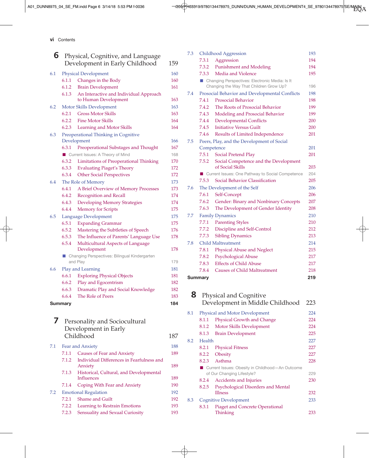vi Contents

| 6   |                | Physical, Cognitive, and Language<br>Development in Early Childhood | 159 |
|-----|----------------|---------------------------------------------------------------------|-----|
| 6.1 |                | <b>Physical Development</b>                                         | 160 |
|     | 6.1.1          | Changes in the Body                                                 | 160 |
|     | 6.1.2          | <b>Brain Development</b>                                            | 161 |
|     | 6.1.3          | An Interactive and Individual Approach<br>to Human Development      | 163 |
| 6.2 |                | Motor Skills Development                                            | 163 |
|     | 6.2.1          | <b>Gross Motor Skills</b>                                           | 163 |
|     | 6.2.2          | <b>Fine Motor Skills</b>                                            | 164 |
|     | 6.2.3          | Learning and Motor Skills                                           | 164 |
| 6.3 |                | Preoperational Thinking in Cognitive<br>Development                 | 166 |
|     | 6.3.1          | Preoperational Substages and Thought                                | 167 |
|     |                | Current Issues: A Theory of Mind                                    | 168 |
|     | 6.3.2          | <b>Limitations of Preoperational Thinking</b>                       | 170 |
|     | 6.3.3          | <b>Evaluating Piaget's Theory</b>                                   | 172 |
|     | 6.3.4          | <b>Other Social Perspectives</b>                                    | 172 |
| 6.4 |                | The Role of Memory                                                  | 173 |
|     | 6.4.1          | A Brief Overview of Memory Processes                                | 173 |
|     | 6.4.2          | <b>Recognition and Recall</b>                                       | 174 |
|     | 6.4.3          | <b>Developing Memory Strategies</b>                                 | 174 |
|     | 6.4.4          | <b>Memory for Scripts</b>                                           | 175 |
| 6.5 |                | Language Development                                                | 175 |
|     | 6.5.1          | <b>Expanding Grammar</b>                                            | 175 |
|     | 6.5.2          | Mastering the Subtleties of Speech                                  | 176 |
|     | 6.5.3          | The Influence of Parents' Language Use                              | 178 |
|     | 6.5.4          | Multicultural Aspects of Language<br>Development                    | 178 |
|     | ш              | Changing Perspectives: Bilingual Kindergarten<br>and Play           | 179 |
| 6.6 |                | Play and Learning                                                   | 181 |
|     | 6.6.1          | <b>Exploring Physical Objects</b>                                   | 181 |
|     | 6.6.2          | Play and Egocentrism                                                | 182 |
|     | 6.6.3          | Dramatic Play and Social Knowledge                                  | 182 |
|     | 6.6.4          | The Role of Peers                                                   | 183 |
|     | <b>Summary</b> |                                                                     | 184 |
| 7   |                | Personality and Sociocultural<br>Development in Early               |     |
|     |                | Childhood                                                           | 187 |
| 7.1 |                | Fear and Anxiety                                                    | 188 |
|     | 7.1.1          | <b>Causes of Fear and Anxiety</b>                                   | 189 |
|     | 7.1.2          | Individual Differences in Fearfulness and<br>Anxiety                | 189 |
|     | 7.1.3          | Historical, Cultural, and Developmental<br>Influences               | 189 |

7.1.4 Coping With Fear and Anxiety 190 7.2 Emotional Regulation 192 7.2.1 Shame and Guilt 192 7.2.2 Learning to Restrain Emotions 193 7.2.3 Sensuality and Sexual Curiosity 193

|     | 7.4.3   | Modeling and Prosocial Behavior                           | 199 |
|-----|---------|-----------------------------------------------------------|-----|
|     | 7.4.4   | <b>Developmental Conflicts</b>                            | 200 |
|     | 7.4.5   | <b>Initiative Versus Guilt</b>                            | 200 |
|     | 7.4.6   | Results of Limited Independence                           | 201 |
| 7.5 |         | Peers, Play, and the Development of Social                |     |
|     |         | Competence                                                | 201 |
|     | 7.5.1   | Social Pretend Play                                       | 201 |
|     | 7.5.2   | Social Competence and the Development<br>of Social Skills | 203 |
|     |         | Current Issues: One Pathway to Social Competence          | 204 |
|     | 7.5.3   | Social Behavior Classification                            | 205 |
| 7.6 |         | The Development of the Self                               | 206 |
|     | 7.6.1   | Self-Concept                                              | 206 |
|     | 7.6.2   | Gender: Binary and Nonbinary Concepts                     | 207 |
|     | 7.6.3   | The Development of Gender Identity                        | 208 |
| 7.7 |         | <b>Family Dynamics</b>                                    | 210 |
|     | 7.7.1   | <b>Parenting Styles</b>                                   | 210 |
|     | 7.7.2   | Discipline and Self-Control                               | 212 |
|     | 7.7.3   | <b>Sibling Dynamics</b>                                   | 213 |
| 7.8 |         | <b>Child Maltreatment</b>                                 | 214 |
|     | 7.8.1   | Physical Abuse and Neglect                                | 215 |
|     | 7.8.2   | Psychological Abuse                                       | 217 |
|     | 7.8.3   | <b>Effects of Child Abuse</b>                             | 217 |
|     | 7.8.4   | <b>Causes of Child Maltreatment</b>                       | 218 |
|     | Summary |                                                           | 219 |
|     |         |                                                           |     |
| 8   |         | <b>Physical and Cognitive</b>                             |     |
|     |         | Development in Middle Childhood                           | 223 |
| 8.1 |         | <b>Physical and Motor Development</b>                     | 224 |
|     | 8.1.1   | Physical Growth and Change                                | 224 |
|     | 8.1.2   | Motor Skills Development                                  | 224 |
|     | 8.1.3   | <b>Brain Development</b>                                  | 225 |
| 8.2 | Health  |                                                           | 227 |
|     | 8.2.1   | <b>Physical Fitness</b>                                   | 227 |
|     | 8.2.2   | Obesity                                                   | 227 |
|     | 8.2.3   | Asthma                                                    | 228 |

■ Current Issues: Obesity in Childhood–An Outcome

8.3 Cognitive Development 233

8.2.5 Psychological Disorders and Mental

8.3.1 Piaget and Concrete Operational

of Our Changing Lifestyle? 229 8.2.4 Accidents and Injuries 230

Illness 232

Thinking 233

7.3 Childhood Aggression 193 7.3.1 Aggression 194 7.3.2 Punishment and Modeling 194 7.3.3 Media and Violence 195

7.4 Prosocial Behavior and Developmental Conflicts 198 7.4.1 Prosocial Behavior 198 7.4.2 The Roots of Prosocial Behavior 199

Changing the Way That Children Grow Up? 196

■ Changing Perspectives: Electronic Media: Is It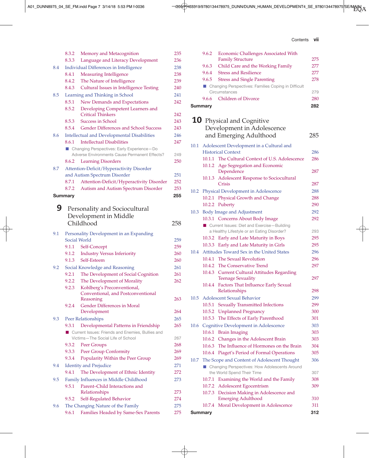A01\_DUNN8975\_04\_SE\_FM.indd Page 7 3/14/18 5:53 PM f-0036 */205/PH03319/9780134478975\_DUNN/DUNN\_HUMAN\_DEVELOPMENT4\_SE\_9780134478975*/SE/MAIN/ A

| Contents | VII |
|----------|-----|

|     | 8.3.2          | Memory and Metacognition                                                                      | 235 |
|-----|----------------|-----------------------------------------------------------------------------------------------|-----|
|     | 8.3.3          | Language and Literacy Development                                                             | 236 |
| 8.4 |                | <b>Individual Differences in Intelligence</b>                                                 | 238 |
|     | 8.4.1          | <b>Measuring Intelligence</b>                                                                 | 238 |
|     | 8.4.2          | The Nature of Intelligence                                                                    | 239 |
|     | 8.4.3          | <b>Cultural Issues in Intelligence Testing</b>                                                | 240 |
| 8.5 |                | Learning and Thinking in School                                                               | 241 |
|     | 8.5.1          | New Demands and Expectations                                                                  | 242 |
|     | 8.5.2          | Developing Competent Learners and                                                             |     |
|     |                | <b>Critical Thinkers</b>                                                                      | 242 |
|     | 8.5.3          | <b>Success in School</b>                                                                      | 243 |
|     | 8.5.4          | Gender Differences and School Success                                                         | 243 |
| 8.6 |                | <b>Intellectual and Developmental Disabilities</b><br><b>Intellectual Disabilities</b>        | 246 |
|     | 8.6.1          |                                                                                               | 247 |
|     |                | ■ Changing Perspectives: Early Experience-Do<br>Adverse Environments Cause Permanent Effects? | 249 |
|     | 8.6.2          | <b>Learning Disorders</b>                                                                     | 250 |
| 8.7 |                | Attention-Deficit/Hyperactivity Disorder                                                      |     |
|     |                | and Autism Spectrum Disorder                                                                  | 251 |
|     | 8.7.1          | Attention-Deficit/Hyperactivity Disorder                                                      | 252 |
|     | 8.7.2          | Autism and Autism Spectrum Disorder                                                           | 253 |
|     | <b>Summary</b> |                                                                                               | 255 |
|     |                |                                                                                               |     |
| 9   |                | Personality and Sociocultural                                                                 |     |
|     |                | Development in Middle                                                                         |     |
|     |                | Childhood                                                                                     | 258 |
| 9.1 |                | Personality Development in an Expanding                                                       |     |
|     | Social World   |                                                                                               | 259 |
|     | 9.1.1          | Self-Concept                                                                                  | 259 |
|     | 9.1.2          | <b>Industry Versus Inferiority</b>                                                            | 260 |
|     | 9.1.3          | Self-Esteem                                                                                   | 260 |
| 9.2 |                | Social Knowledge and Reasoning                                                                | 261 |
|     | 9.2.1          | The Development of Social Cognition                                                           | 261 |
|     | 9.2.2          | The Development of Morality                                                                   | 262 |
|     | 9.2.3          | Kohlberg's Preconventional,                                                                   |     |
|     |                | Conventional, and Postconventional                                                            |     |
|     |                | Reasoning                                                                                     | 263 |
|     | 9.2.4          | Gender Differences in Moral<br>Development                                                    | 264 |
| 9.3 |                |                                                                                               | 265 |
|     | 9.3.1          | Peer Relationships<br>Developmental Patterns in Friendship                                    | 265 |
|     |                | Current Issues: Friends and Enemies, Bullies and                                              |     |
|     |                | Victims-The Social Life of School                                                             | 267 |
|     | 9.3.2          | Peer Groups                                                                                   | 268 |
|     | 9.3.3          | Peer Group Conformity                                                                         | 269 |
|     | 9.3.4          | Popularity Within the Peer Group                                                              | 269 |
| 9.4 |                | <b>Identity and Prejudice</b>                                                                 | 271 |
|     | 9.4.1          | The Development of Ethnic Identity                                                            | 272 |
| 9.5 |                | Family Influences in Middle Childhood                                                         | 273 |
|     | 9.5.1          | Parent–Child Interactions and                                                                 |     |
|     |                | Relationships                                                                                 | 273 |
|     | 9.5.2          | Self-Regulated Behavior                                                                       | 274 |
| 9.6 |                | The Changing Nature of the Family                                                             | 275 |
|     | 9.6.1          | Families Headed by Same-Sex Parents                                                           | 275 |

|      | 9.6.2          | Economic Challenges Associated With                                   |     |
|------|----------------|-----------------------------------------------------------------------|-----|
|      |                | <b>Family Structure</b>                                               | 275 |
|      | 9.6.3          | Child Care and the Working Family                                     | 277 |
|      | 9.6.4          | <b>Stress and Resilience</b>                                          | 277 |
|      | 9.6.5          | <b>Stress and Single Parenting</b>                                    | 278 |
|      |                | ■ Changing Perspectives: Families Coping in Difficult                 |     |
|      |                | Circumstances                                                         | 279 |
|      | 9.6.6          | <b>Children of Divorce</b>                                            | 280 |
|      | <b>Summary</b> |                                                                       | 282 |
|      |                |                                                                       |     |
|      |                | <b>10</b> Physical and Cognitive                                      |     |
|      |                | Development in Adolescence                                            |     |
|      |                | and Emerging Adulthood                                                | 285 |
| 10.1 |                |                                                                       |     |
|      |                | Adolescent Development in a Cultural and<br><b>Historical Context</b> | 286 |
|      | 10.1.1         | The Cultural Context of U.S. Adolescence                              | 286 |
|      |                | 10.1.2 Age Segregation and Economic                                   |     |
|      |                | Dependence                                                            | 287 |
|      | 10.1.3         | Adolescent Response to Sociocultural                                  |     |
|      |                | Crisis                                                                | 287 |
| 10.2 |                | Physical Development in Adolescence                                   | 288 |
|      |                | 10.2.1 Physical Growth and Change                                     | 288 |
|      |                | 10.2.2 Puberty                                                        | 290 |
| 10.3 |                | <b>Body Image and Adjustment</b>                                      | 292 |
|      |                | 10.3.1 Concerns About Body Image                                      | 292 |
|      |                | Current Issues: Diet and Exercise-Building                            |     |
|      |                | a Healthy Lifestyle or an Eating Disorder?                            | 293 |
|      |                | 10.3.2 Early and Late Maturity in Boys                                | 295 |
|      | 10.3.3         | Early and Late Maturity in Girls                                      | 295 |
| 10.4 |                | Attitudes Toward Sex in the United States                             | 296 |
|      | 10.4.1         | The Sexual Revolution                                                 | 296 |
|      |                | 10.4.2 The Conservative Trend                                         | 297 |
|      |                | 10.4.3 Current Cultural Attitudes Regarding                           |     |
|      |                | <b>Teenage Sexuality</b>                                              | 297 |
|      |                | 10.4.4 Factors That Influence Early Sexual                            |     |
|      |                | Relationships                                                         | 298 |
| 10.5 |                | <b>Adolescent Sexual Behavior</b>                                     | 299 |
|      | 10.5.1         | <b>Sexually Transmitted Infections</b>                                | 299 |
|      | 10.5.2         | <b>Unplanned Pregnancy</b>                                            | 300 |
|      | 10.5.3         | The Effects of Early Parenthood                                       | 301 |
| 10.6 |                | <b>Cognitive Development in Adolescence</b>                           | 303 |
|      |                | 10.6.1 Brain Imaging                                                  | 303 |
|      |                | 10.6.2 Changes in the Adolescent Brain                                | 303 |
|      | 10.6.3         | The Influence of Hormones on the Brain                                | 304 |
|      | 10.6.4         | Piaget's Period of Formal Operations                                  | 305 |
| 10.7 |                | The Scope and Content of Adolescent Thought                           | 306 |
|      |                | ■ Changing Perspectives: How Adolescents Around                       |     |
|      |                | the World Spend Their Time                                            | 307 |
|      | 10.7.1         | Examining the World and the Family                                    | 308 |
|      |                | 10.7.2 Adolescent Egocentrism                                         | 309 |
|      | 10.7.3         | Decision Making in Adolescence and                                    | 310 |
|      | 10.7.4         | <b>Emerging Adulthood</b><br>Moral Development in Adolescence         | 311 |
|      |                |                                                                       | 312 |
|      | Summary        |                                                                       |     |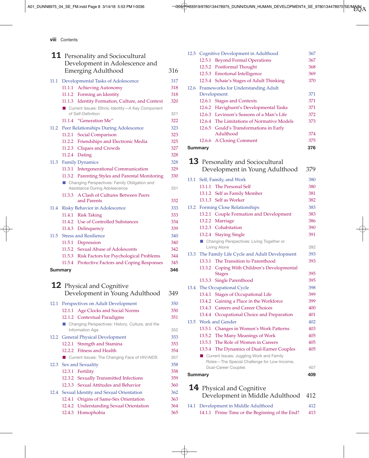A01\_DUNN8975\_04\_SE\_FM.indd Page 8 3/14/18 5:53 PM f-0036 /205/PH03319/9780134478975\_DUNN/DUNN\_HUMAN\_DEVELOPMENT4\_SE\_9780134478975/SE/MAIN/ ...

viii Contents

|      | <b>11</b> Personality and Sociocultural<br>Development in Adolescence and<br><b>Emerging Adulthood</b>  | 316 |
|------|---------------------------------------------------------------------------------------------------------|-----|
|      |                                                                                                         |     |
| 11.1 | Developmental Tasks of Adolescence                                                                      | 317 |
|      | 11.1.1 Achieving Autonomy                                                                               | 318 |
|      | Forming an Identity<br>11.1.2                                                                           | 318 |
|      | Identity Formation, Culture, and Context<br>11.1.3<br>■ Current Issues: Ethnic Identity-A Key Component | 320 |
|      | of Self-Definition                                                                                      | 321 |
|      | 11.1.4 "Generation Me"                                                                                  | 322 |
| 11.2 | Peer Relationships During Adolescence                                                                   | 323 |
|      | 11.2.1 Social Comparison                                                                                | 323 |
|      | 11.2.2 Friendships and Electronic Media                                                                 | 325 |
|      | 11.2.3 Cliques and Crowds                                                                               | 327 |
|      | 11.2.4 Dating                                                                                           | 328 |
| 11.3 | <b>Family Dynamics</b>                                                                                  | 328 |
|      | 11.3.1 Intergenerational Communication                                                                  | 329 |
|      | 11.3.2 Parenting Styles and Parental Monitoring<br>■ Changing Perspectives: Family Obligation and       | 330 |
|      | Assistance During Adolescence                                                                           | 331 |
|      | A Clash of Cultures Between Peers<br>11.3.3                                                             |     |
|      | and Parents                                                                                             | 332 |
| 11.4 | Risky Behavior in Adolescence                                                                           | 333 |
|      | 11.4.1 Risk Taking                                                                                      | 333 |
|      | 11.4.2 Use of Controlled Substances                                                                     | 334 |
|      | 11.4.3 Delinquency                                                                                      | 339 |
| 11.5 | <b>Stress and Resilience</b>                                                                            | 340 |
|      | 11.5.1 Depression                                                                                       | 340 |
|      | 11.5.2 Sexual Abuse of Adolescents                                                                      | 342 |
|      | 11.5.3 Risk Factors for Psychological Problems                                                          | 344 |
|      | 11.5.4 Protective Factors and Coping Responses                                                          | 345 |
|      | <b>Summary</b>                                                                                          | 346 |
|      | <b>12</b> Physical and Cognitive                                                                        |     |
|      | Development in Young Adulthood                                                                          | 349 |
| 12.1 | Perspectives on Adult Development                                                                       | 350 |
|      | 12.1.1<br>Age Clocks and Social Norms                                                                   | 350 |
|      | 12.1.2 Contextual Paradigms                                                                             | 351 |
|      | ■ Changing Perspectives: History, Culture, and the                                                      |     |
|      | Information Age                                                                                         | 352 |
|      | 12.2 General Physical Development                                                                       | 353 |
|      | 12.2.1 Strength and Stamina                                                                             | 353 |
|      | 12.2.2 Fitness and Health                                                                               | 354 |
|      | Current Issues: The Changing Face of HIV/AIDS                                                           | 357 |
| 12.3 | Sex and Sexuality                                                                                       | 358 |
|      | 12.3.1<br>Fertility                                                                                     | 358 |
|      | 12.3.2 Sexually Transmitted Infections                                                                  | 359 |
|      | 12.3.3 Sexual Attitudes and Behavior                                                                    | 360 |
|      | 12.4 Sexual Identity and Sexual Orientation                                                             | 362 |
|      | Origins of Same-Sex Orientation<br>12.4.1                                                               | 363 |
|      | 12.4.2 Understanding Sexual Orientation                                                                 | 364 |
|      | 12.4.3 Homophobia                                                                                       | 365 |

| 12.5    |        | Cognitive Development in Adulthood         | 367 |
|---------|--------|--------------------------------------------|-----|
|         | 12.5.1 | <b>Beyond Formal Operations</b>            | 367 |
|         |        | 12.5.2 Postformal Thought                  | 368 |
|         |        | 12.5.3 Emotional Intelligence              | 369 |
|         |        | 12.5.4 Schaie's Stages of Adult Thinking   | 370 |
|         |        | 12.6 Frameworks for Understanding Adult    |     |
|         |        | Development                                | 371 |
|         |        | 12.6.1 Stages and Contexts                 | 371 |
|         |        | 12.6.2 Havighurst's Developmental Tasks    | 371 |
|         |        | 12.6.3 Levinson's Seasons of a Man's Life  | 372 |
|         |        | 12.6.4 The Limitations of Normative Models | 373 |
|         |        | 12.6.5 Gould's Transformations in Early    |     |
|         |        | Adulthood                                  | 374 |
|         |        | 12.6.6 A Closing Comment                   | 375 |
| Summary |        |                                            | 376 |

|      |                | <b>13</b> Personality and Sociocultural<br>Development in Young Adulthood | 379 |
|------|----------------|---------------------------------------------------------------------------|-----|
| 13.1 |                | Self, Family, and Work                                                    | 380 |
|      |                | 13.1.1 The Personal Self                                                  | 380 |
|      |                | 13.1.2 Self as Family Member                                              | 381 |
|      |                | 13.1.3 Self as Worker                                                     | 382 |
| 13.2 |                | <b>Forming Close Relationships</b>                                        | 383 |
|      |                | 13.2.1 Couple Formation and Development                                   | 383 |
|      |                | 13.2.2 Marriage                                                           | 386 |
|      |                | 13.2.3 Cohabitation                                                       | 390 |
|      |                | 13.2.4 Staying Single                                                     | 391 |
|      |                | ■ Changing Perspectives: Living Together or                               |     |
|      |                | Living Alone                                                              | 392 |
| 13.3 |                | The Family Life Cycle and Adult Development                               | 393 |
|      |                | 13.3.1 The Transition to Parenthood                                       | 393 |
|      |                | 13.3.2 Coping With Children's Developmental<br><b>Stages</b>              | 395 |
|      |                | 13.3.3 Single Parenthood                                                  | 395 |
| 13.4 |                | The Occupational Cycle                                                    | 398 |
|      |                | 13.4.1 Stages of Occupational Life                                        | 399 |
|      |                | 13.4.2 Gaining a Place in the Workforce                                   | 399 |
|      |                | 13.4.3 Careers and Career Choices                                         | 400 |
|      | 13.4.4         | Occupational Choice and Preparation                                       | 401 |
| 13.5 |                | <b>Work and Gender</b>                                                    | 402 |
|      |                | 13.5.1 Changes in Women's Work Patterns                                   | 403 |
|      |                | 13.5.2 The Many Meanings of Work                                          | 405 |
|      | 13.5.3         | The Role of Women in Careers                                              | 405 |
|      | 13.5.4         | The Dynamics of Dual-Earner Couples                                       | 405 |
|      |                | ■ Current Issues: Juggling Work and Family                                |     |
|      |                | Roles-The Special Challenge for Low-Income,                               |     |
|      |                | Dual-Career Couples                                                       | 407 |
|      | <b>Summary</b> |                                                                           | 409 |

#### **14** Physical and Cognitive

Development in Middle Adulthood 412

14.1 Development in Middle Adulthood 412 14.1.1 Prime Time or the Beginning of the End? 413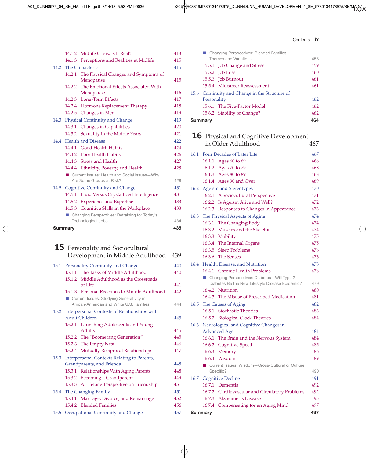A01\_DUNN8975\_04\_SE\_FM.indd Page 9 3/14/18 5:53 PM f-0036 /205/PH03319/9780134478975\_DUNN/DUNN\_HUMAN\_DEVELOPMENT4\_SE\_9780134478975/SE/MAIN/ ...

| Contents | IX |
|----------|----|
|          |    |

|                |                                      | 14.1.2 Midlife Crisis: Is It Real?                        | 413 |
|----------------|--------------------------------------|-----------------------------------------------------------|-----|
|                |                                      | 14.1.3 Perceptions and Realities at Midlife               | 415 |
|                |                                      | 14.2 The Climacteric                                      | 415 |
|                |                                      | 14.2.1 The Physical Changes and Symptoms of<br>Menopause  | 415 |
|                |                                      | 14.2.2 The Emotional Effects Associated With<br>Menopause | 416 |
|                |                                      | 14.2.3 Long-Term Effects                                  | 417 |
|                |                                      | 14.2.4 Hormone Replacement Therapy                        | 418 |
|                |                                      | 14.2.5 Changes in Men                                     | 419 |
| 14.3           |                                      | Physical Continuity and Change                            | 419 |
|                |                                      | 14.3.1 Changes in Capabilities                            | 420 |
|                |                                      | 14.3.2 Sexuality in the Middle Years                      | 421 |
|                |                                      | 14.4 Health and Disease                                   | 422 |
|                |                                      | 14.4.1 Good Health Habits                                 | 424 |
|                |                                      | 14.4.2 Poor Health Habits                                 | 426 |
|                |                                      | 14.4.3 Stress and Health                                  | 427 |
|                |                                      | 14.4.4 Ethnicity, Poverty, and Health                     | 428 |
|                |                                      | Current Issues: Health and Social Issues-Why              |     |
|                |                                      | Are Some Groups at Risk?                                  | 429 |
|                | 14.5 Cognitive Continuity and Change |                                                           | 431 |
|                |                                      | 14.5.1 Fluid Versus Crystallized Intelligence             | 431 |
|                |                                      | 14.5.2 Experience and Expertise                           | 433 |
|                |                                      | 14.5.3 Cognitive Skills in the Workplace                  | 433 |
|                |                                      | ■ Changing Perspectives: Retraining for Today's           |     |
|                |                                      | <b>Technological Jobs</b>                                 | 434 |
| <b>Summary</b> |                                      | 435                                                       |     |

#### **15** Personality and Sociocultural Development in Middle Adulthood 439

|      | 15.1 Personality Continuity and Change                                               | 440 |
|------|--------------------------------------------------------------------------------------|-----|
|      | 15.1.1 The Tasks of Middle Adulthood                                                 | 440 |
|      | 15.1.2 Middle Adulthood as the Crossroads                                            |     |
|      | of Life                                                                              | 441 |
|      | 15.1.3 Personal Reactions to Middle Adulthood                                        | 442 |
|      | Current Issues: Studying Generativity in<br>African-American and White U.S. Families | 444 |
|      | 15.2 Interpersonal Contexts of Relationships with                                    |     |
|      | Adult Children                                                                       | 445 |
|      | 15.2.1 Launching Adolescents and Young                                               |     |
|      | <b>Adults</b>                                                                        | 445 |
|      | 15.2.2 The "Boomerang Generation"                                                    | 445 |
|      | 15.2.3 The Empty Nest                                                                | 446 |
|      | 15.2.4 Mutually Reciprocal Relationships                                             | 447 |
|      | 15.3 Interpersonal Contexts Relating to Parents,                                     |     |
|      | Grandparents, and Friends                                                            | 448 |
|      | 15.3.1 Relationships With Aging Parents                                              | 448 |
|      | 15.3.2 Becoming a Grandparent                                                        | 449 |
|      | 15.3.3 A Lifelong Perspective on Friendship                                          | 451 |
|      | 15.4 The Changing Family                                                             | 451 |
|      | 15.4.1 Marriage, Divorce, and Remarriage                                             | 452 |
|      | 15.4.2 Blended Families                                                              | 456 |
| 15.5 | Occupational Continuity and Change                                                   | 457 |

|         |             | ■ Changing Perspectives: Blended Families-     |     |
|---------|-------------|------------------------------------------------|-----|
|         |             | Themes and Variations                          | 458 |
|         |             | 15.5.1 Job Change and Stress                   | 459 |
|         |             | $15.5.2$ Job Loss                              | 460 |
|         |             | 15.5.3 Job Burnout                             | 461 |
|         |             | 15.5.4 Midcareer Reassessment                  | 461 |
|         |             | 15.6 Continuity and Change in the Structure of |     |
|         | Personality |                                                | 462 |
|         |             | 15.6.1 The Five-Factor Model                   | 462 |
|         |             | 15.6.2 Stability or Change?                    | 462 |
| Summary |             | 464                                            |     |

|      |                                       | <b>16</b> Physical and Cognitive Development<br>in Older Adulthood | 467 |
|------|---------------------------------------|--------------------------------------------------------------------|-----|
| 16.1 |                                       | <b>Four Decades of Later Life</b>                                  | 467 |
|      |                                       | 16.1.1 Ages 60 to 69                                               | 468 |
|      |                                       | 16.1.2 Ages 70 to 79                                               | 468 |
|      |                                       | 16.1.3 Ages 80 to 89                                               | 468 |
|      |                                       | 16.1.4 Ages 90 and Over                                            | 469 |
|      |                                       | 16.2 Ageism and Stereotypes                                        | 470 |
|      |                                       | 16.2.1 A Sociocultural Perspective                                 | 471 |
|      |                                       | 16.2.2 Is Ageism Alive and Well?                                   | 472 |
|      |                                       | 16.2.3 Responses to Changes in Appearance                          | 473 |
| 16.3 |                                       | The Physical Aspects of Aging                                      | 474 |
|      |                                       | 16.3.1 The Changing Body                                           | 474 |
|      |                                       | 16.3.2 Muscles and the Skeleton                                    | 474 |
|      |                                       | 16.3.3 Mobility                                                    | 475 |
|      |                                       | 16.3.4 The Internal Organs                                         | 475 |
|      |                                       | 16.3.5 Sleep Problems                                              | 476 |
|      |                                       | 16.3.6 The Senses                                                  | 476 |
|      |                                       | 16.4 Health, Disease, and Nutrition                                | 478 |
|      |                                       | 16.4.1 Chronic Health Problems                                     | 478 |
|      |                                       | ■ Changing Perspectives: Diabetes-Will Type 2                      |     |
|      |                                       | Diabetes Be the New Lifestyle Disease Epidemic?                    | 479 |
|      |                                       | 16.4.2 Nutrition                                                   | 480 |
|      |                                       | 16.4.3 The Misuse of Prescribed Medication                         | 481 |
| 16.5 |                                       | The Causes of Aging                                                | 482 |
|      |                                       | 16.5.1 Stochastic Theories                                         | 483 |
|      |                                       | 16.5.2 Biological Clock Theories                                   | 484 |
| 16.6 | Neurological and Cognitive Changes in |                                                                    |     |
|      |                                       | <b>Advanced Age</b>                                                | 484 |
|      |                                       | 16.6.1 The Brain and the Nervous System                            | 484 |
|      |                                       | 16.6.2 Cognitive Speed                                             | 485 |
|      |                                       | 16.6.3 Memory                                                      | 486 |
|      |                                       | 16.6.4 Wisdom                                                      | 489 |

■ Current Issues: Wisdom-Cross-Cultural or Culture

16.7 Cognitive Decline 491 16.7.1 Dementia 492 16.7.2 Cardiovascular and Circulatory Problems 492 16.7.3 Alzheimer's Disease 493 16.7.4 Compensating for an Aging Mind 497 Summary 497

Specific? 490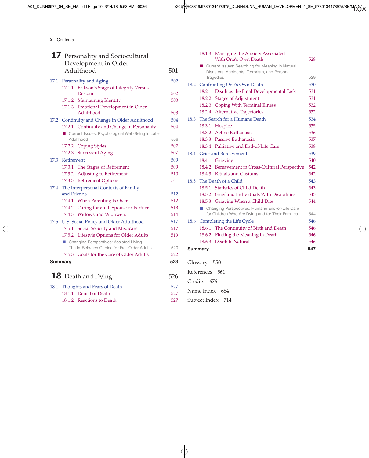x Contents

|                           |                                      | 17 Personality and Sociocultural                   |     |
|---------------------------|--------------------------------------|----------------------------------------------------|-----|
|                           |                                      | Development in Older                               |     |
|                           |                                      | Adulthood                                          | 501 |
| 17.1                      | Personality and Aging                |                                                    |     |
|                           |                                      | 17.1.1 Erikson's Stage of Integrity Versus         |     |
|                           |                                      | Despair                                            | 502 |
|                           |                                      | 17.1.2 Maintaining Identity                        | 503 |
|                           |                                      | 17.1.3 Emotional Development in Older<br>Adulthood | 503 |
|                           |                                      | 17.2 Continuity and Change in Older Adulthood      | 504 |
|                           |                                      | 17.2.1 Continuity and Change in Personality        | 504 |
|                           |                                      | Current Issues: Psychological Well-Being in Later  |     |
|                           |                                      | Adulthood                                          | 506 |
|                           |                                      | 17.2.2 Coping Styles                               | 507 |
|                           |                                      | 17.2.3 Successful Aging                            | 507 |
| 17.3                      | Retirement                           |                                                    | 509 |
|                           |                                      | 17.3.1 The Stages of Retirement                    | 509 |
|                           |                                      | 17.3.2 Adjusting to Retirement                     | 510 |
|                           |                                      | 17.3.3 Retirement Options                          | 511 |
| 17.4                      | The Interpersonal Contexts of Family |                                                    |     |
|                           | and Friends                          |                                                    | 512 |
|                           |                                      | 17.4.1 When Parenting Is Over                      | 512 |
|                           |                                      | 17.4.2 Caring for an Ill Spouse or Partner         | 513 |
|                           |                                      | 17.4.3 Widows and Widowers                         | 514 |
| 17.5                      |                                      | U.S. Social Policy and Older Adulthood             | 517 |
|                           |                                      | 17.5.1 Social Security and Medicare                | 517 |
|                           |                                      | 17.5.2 Lifestyle Options for Older Adults          | 519 |
|                           |                                      | ■ Changing Perspectives: Assisted Living-          |     |
|                           |                                      | The In-Between Choice for Frail Older Adults       | 520 |
|                           |                                      | 17.5.3 Goals for the Care of Older Adults          | 522 |
| <b>Summary</b>            |                                      |                                                    | 523 |
| <b>18</b> Death and Dying |                                      |                                                    | 526 |
| 18.1                      |                                      | Thoughts and Fears of Death                        | 527 |
|                           |                                      | 18.1.1 Denial of Death                             | 527 |
|                           |                                      |                                                    |     |

18.1.2 Reactions to Death 527

|      |                | 18.1.3 Managing the Anxiety Associated<br>With One's Own Death | 528 |
|------|----------------|----------------------------------------------------------------|-----|
|      |                | ■ Current Issues: Searching for Meaning in Natural             |     |
|      |                | Disasters, Accidents, Terrorism, and Personal                  |     |
|      |                | <b>Tragedies</b>                                               | 529 |
| 18.2 |                | Confronting One's Own Death                                    | 530 |
|      |                | 18.2.1 Death as the Final Developmental Task                   | 531 |
|      |                | 18.2.2 Stages of Adjustment                                    | 531 |
|      |                | 18.2.3 Coping With Terminal Illness                            | 532 |
|      |                | 18.2.4 Alternative Trajectories                                | 532 |
| 18.3 |                | The Search for a Humane Death                                  | 534 |
|      |                | 18.3.1 Hospice                                                 | 535 |
|      |                | 18.3.2 Active Euthanasia                                       | 536 |
|      |                | 18.3.3 Passive Euthanasia                                      | 537 |
|      |                | 18.3.4 Palliative and End-of-Life Care                         | 538 |
|      |                | 18.4 Grief and Bereavement                                     | 539 |
|      |                | 18.4.1 Grieving                                                | 540 |
|      |                | 18.4.2 Bereavement in Cross-Cultural Perspective               | 542 |
|      |                | 18.4.3 Rituals and Customs                                     | 542 |
| 18.5 |                | The Death of a Child                                           | 543 |
|      |                | 18.5.1 Statistics of Child Death                               | 543 |
|      |                | 18.5.2 Grief and Individuals With Disabilities                 | 543 |
|      |                | 18.5.3 Grieving When a Child Dies                              | 544 |
|      |                | ■ Changing Perspectives: Humane End-of-Life Care               |     |
|      |                | for Children Who Are Dying and for Their Families              | 544 |
| 18.6 |                | Completing the Life Cycle                                      | 546 |
|      |                | 18.6.1 The Continuity of Birth and Death                       | 546 |
|      |                | 18.6.2 Finding the Meaning in Death                            | 546 |
|      |                | 18.6.3 Death Is Natural                                        | 546 |
|      | <b>Summary</b> |                                                                | 547 |
|      |                |                                                                |     |

- Glossary 550 References 561
- Credits 676
- Name Index 684
- Subject Index 714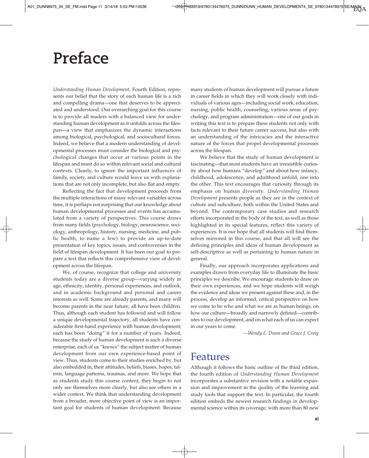## **Preface**

*Understanding Human Development*, Fourth Edition, represents our belief that the story of each human life is a rich and compelling drama—one that deserves to be appreciated and understood. Our overarching goal for this course is to provide all readers with a balanced view for understanding human development as it unfolds across the lifespan—a view that emphasizes the dynamic interactions among biological, psychological, and sociocultural forces. Indeed, we believe that a modern understanding of developmental processes must consider the biological and psychological changes that occur at various points in the lifespan and must do so within relevant social and cultural contexts. Clearly, to ignore the important influences of family, society, and culture would leave us with explanations that are not only incomplete, but also flat and empty.

Reflecting the fact that development proceeds from the multiple interactions of many relevant variables across time, it is perhaps not surprising that our knowledge about human developmental processes and events has accumulated from a variety of perspectives. This course draws from many fields (psychology, biology, neuroscience, sociology, anthropology, history, nursing, medicine, and public health, to name a few) to provide an up-to-date presentation of key topics, issues, and controversies in the field of lifespan development. It has been our goal to prepare a text that reflects this comprehensive view of development across the lifespan.

We, of course, recognize that college and university students today are a diverse group—varying widely in age, ethnicity, identity, personal experiences, and outlook, and in academic background and personal and career interests as well. Some are already parents, and many will become parents in the near future; all have been children. Thus, although each student has followed and will follow a unique developmental trajectory, all students have considerable first-hand experience with human development; each has been "doing" it for a number of years. Indeed, because the study of human development is such a diverse enterprise, each of us "knows" the subject matter of human development from our own experience-based point of view. Thus, students come to their studies enriched by, but also embedded in, their attitudes, beliefs, biases, hopes, talents, language patterns, traumas, and more. We hope that as students study this course content, they begin to not only see themselves more clearly, but also see others in a wider context. We think that understanding development from a broader, more objective point of view is an important goal for students of human development. Because

many students of human development will pursue a future in career fields in which they will work closely with individuals of various ages—including social work, education, nursing, public health, counseling, various areas of psychology, and program administration—one of our goals in writing this text is to prepare these students not only with facts relevant to their future career success, but also with an understanding of the intricacies and the interactive nature of the forces that propel developmental processes across the lifespan.

We believe that the study of human development is fascinating—that most students have an irresistible curiosity about how humans "develop" and about how infancy, childhood, adolescence, and adulthood unfold, one into the other. This text encourages that curiosity through its emphasis on human diversity. *Understanding Human Development* presents people as they are in the context of culture and subculture, both within the United States and beyond. The contemporary case studies and research efforts incorporated in the body of the text, as well as those highlighted in its special features, reflect this variety of experiences. It is our hope that all students will find themselves mirrored in this course, and that all will see the defining principles and ideas of human development as self-descriptive as well as pertaining to human nature in general.

Finally, our approach incorporates applications and examples drawn from everyday life to illuminate the basic principles we describe. We encourage students to draw on their own experiences, and we hope students will weigh the evidence and ideas we present against these and, in the process, develop an informed, critical perspective on how we come to be who and what we are as human beings, on how our culture—broadly and narrowly defined—contributes to our development, and on what each of us can expect in our years to come.

*—Wendy L. Dunn and Grace J. Craig*

### Features

Although it follows the basic outline of the third edition, the fourth edition of *Understanding Human Development* incorporates a substantive revision with a notable expansion and improvement in the quality of the learning and study tools that support the text. In particular, the fourth edition embeds the newest research findings in developmental science within its coverage, with more than 80 new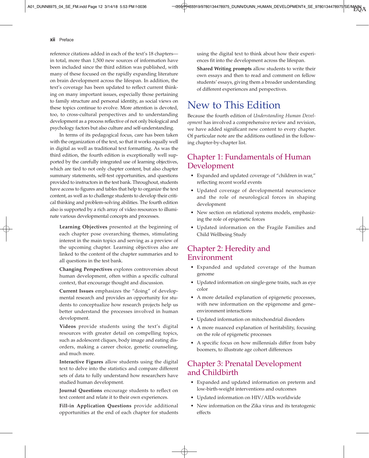#### xii Preface

reference citations added in each of the text's 18 chapters in total, more than 1,500 new sources of information have been included since the third edition was published, with many of these focused on the rapidly expanding literature on brain development across the lifespan. In addition, the text's coverage has been updated to reflect current thinking on many important issues, especially those pertaining to family structure and personal identity, as social views on these topics continue to evolve. More attention is devoted, too, to cross-cultural perspectives and to understanding development as a process reflective of not only biological and psychology factors but also culture and self-understanding.

In terms of its pedagogical focus, care has been taken with the organization of the text, so that it works equally well in digital as well as traditional text formatting. As was the third edition, the fourth edition is exceptionally well supported by the carefully integrated use of learning objectives, which are tied to not only chapter content, but also chapter summary statements, self-test opportunities, and questions provided to instructors in the test bank. Throughout, students have access to figures and tables that help to organize the text content, as well as to challenge students to develop their critical thinking and problem-solving abilities. The fourth edition also is supported by a rich array of video resources to illuminate various developmental concepts and processes.

**Learning Objectives** presented at the beginning of each chapter pose overarching themes, stimulating interest in the main topics and serving as a preview of the upcoming chapter. Learning objectives also are linked to the content of the chapter summaries and to all questions in the test bank.

**Changing Perspectives** explores controversies about human development, often within a specific cultural context, that encourage thought and discussion.

**Current Issues** emphasizes the "doing" of developmental research and provides an opportunity for students to conceptualize how research projects help us better understand the processes involved in human development.

**Videos** provide students using the text's digital resources with greater detail on compelling topics, such as adolescent cliques, body image and eating disorders, making a career choice, genetic counseling, and much more.

**Interactive Figures** allow students using the digital text to delve into the statistics and compare different sets of data to fully understand how researchers have studied human development.

**Journal Questions** encourage students to reflect on text content and relate it to their own experiences.

**Fill-in Application Questions** provide additional opportunities at the end of each chapter for students using the digital text to think about how their experiences fit into the development across the lifespan.

**Shared Writing prompts** allow students to write their own essays and then to read and comment on fellow students' essays, giving them a broader understanding of different experiences and perspectives.

### New to This Edition

Because the fourth edition of *Understanding Human Development* has involved a comprehensive review and revision, we have added significant new content to every chapter. Of particular note are the additions outlined in the following chapter-by-chapter list.

#### Chapter 1: Fundamentals of Human Development

- Expanded and updated coverage of "children in war," reflecting recent world events
- Updated coverage of developmental neuroscience and the role of neurological forces in shaping development
- New section on relational systems models, emphasizing the role of epigenetic forces
- Updated information on the Fragile Families and Child Wellbeing Study

#### Chapter 2: Heredity and Environment

- Expanded and updated coverage of the human genome
- Updated information on single-gene traits, such as eye color
- A more detailed explanation of epigenetic processes, with new information on the epigenome and gene– environment interactions
- Updated information on mitochondrial disorders
- A more nuanced explanation of heritability, focusing on the role of epigenetic processes
- A specific focus on how millennials differ from baby boomers, to illustrate age cohort differences

#### Chapter 3: Prenatal Development and Childbirth

- Expanded and updated information on preterm and low-birth-weight interventions and outcomes
- Updated information on HIV/AIDs worldwide
- New information on the Zika virus and its teratogenic effects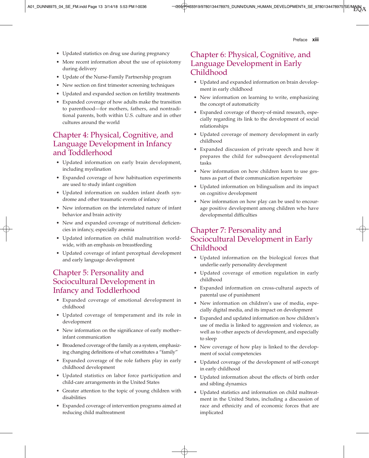Preface **xiii** 

- Updated statistics on drug use during pregnancy
- More recent information about the use of episiotomy during delivery
- Update of the Nurse-Family Partnership program
- New section on first trimester screening techniques
- Updated and expanded section on fertility treatments
- Expanded coverage of how adults make the transition to parenthood—for mothers, fathers, and nontraditional parents, both within U.S. culture and in other cultures around the world

#### Chapter 4: Physical, Cognitive, and Language Development in Infancy and Toddlerhood

- Updated information on early brain development, including myelination
- Expanded coverage of how habituation experiments are used to study infant cognition
- Updated information on sudden infant death syndrome and other traumatic events of infancy
- New information on the interrelated nature of infant behavior and brain activity
- New and expanded coverage of nutritional deficiencies in infancy, especially anemia
- Updated information on child malnutrition worldwide, with an emphasis on breastfeeding
- Updated coverage of infant perceptual development and early language development

#### Chapter 5: Personality and Sociocultural Development in Infancy and Toddlerhood

- Expanded coverage of emotional development in childhood
- Updated coverage of temperament and its role in development
- New information on the significance of early mother– infant communication
- Broadened coverage of the family as a system, emphasizing changing definitions of what constitutes a "family"
- Expanded coverage of the role fathers play in early childhood development
- Updated statistics on labor force participation and child-care arrangements in the United States
- Greater attention to the topic of young children with disabilities
- Expanded coverage of intervention programs aimed at reducing child maltreatment

#### Chapter 6: Physical, Cognitive, and Language Development in Early Childhood

- Updated and expanded information on brain development in early childhood
- New information on learning to write, emphasizing the concept of automaticity
- Expanded coverage of theory-of-mind research, especially regarding its link to the development of social relationships
- Updated coverage of memory development in early childhood
- Expanded discussion of private speech and how it prepares the child for subsequent developmental tasks
- New information on how children learn to use gestures as part of their communication repertoire
- Updated information on bilingualism and its impact on cognitive development
- New information on how play can be used to encourage positive development among children who have developmental difficulties

### Chapter 7: Personality and Sociocultural Development in Early Childhood

- Updated information on the biological forces that underlie early personality development
- Updated coverage of emotion regulation in early childhood
- Expanded information on cross-cultural aspects of parental use of punishment
- New information on children's use of media, especially digital media, and its impact on development
- Expanded and updated information on how children's use of media is linked to aggression and violence, as well as to other aspects of development, and especially to sleep
- New coverage of how play is linked to the development of social competencies
- Updated coverage of the development of self-concept in early childhood
- Updated information about the effects of birth order and sibling dynamics
- Updated statistics and information on child maltreatment in the United States, including a discussion of race and ethnicity and of economic forces that are implicated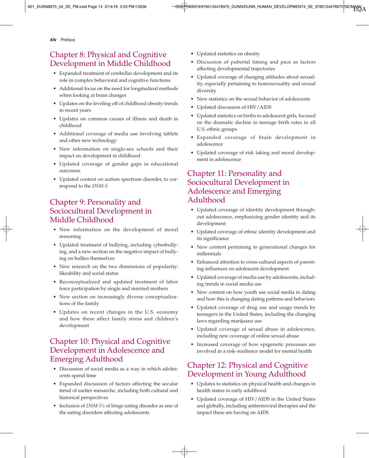xiv Preface

#### Chapter 8: Physical and Cognitive Development in Middle Childhood

- Expanded treatment of cerebellar development and its role in complex behavioral and cognitive functions
- Additional focus on the need for longitudinal methods when looking at brain changes
- Updates on the leveling off of childhood obesity trends in recent years
- Updates on common causes of illness and death in childhood
- Additional coverage of media use involving tablets and other new technology
- New information on single-sex schools and their impact on development in childhood
- Updated coverage of gender gaps in educational outcomes
- Updated content on autism spectrum disorder, to correspond to the *DSM-5*

#### Chapter 9: Personality and Sociocultural Development in Middle Childhood

- New information on the development of moral reasoning
- Updated treatment of bullying, including cyberbullying, and a new section on the negative impact of bullying on bullies themselves
- New research on the two dimensions of popularity: likeability and social status
- Reconceptualized and updated treatment of labor force participation by single and married mothers
- New section on increasingly diverse conceptualizations of the family
- Updates on recent changes in the U.S. economy and how these affect family stress and children's development

#### Chapter 10: Physical and Cognitive Development in Adolescence and Emerging Adulthood

- Discussion of social media as a way in which adolescents spend time
- Expanded discussion of factors affecting the secular trend of earlier menarche, including both cultural and historical perspectives
- Inclusion of *DSM-5's* of binge eating disorder as one of the eating disorders affecting adolescents
- Updated statistics on obesity
- Discussion of pubertal timing and pace as factors affecting developmental trajectories
- Updated coverage of changing attitudes about sexuality, especially pertaining to homosexuality and sexual diversity
- New statistics on the sexual behavior of adolescents
- Updated discussion of HIV/AIDS
- Updated statistics on births to adolescent girls, focused on the dramatic decline in teenage birth rates in all U.S. ethnic groups
- Expanded coverage of brain development in adolescence
- Updated coverage of risk taking and moral development in adolescence

#### Chapter 11: Personality and Sociocultural Development in Adolescence and Emerging Adulthood

- Updated coverage of identity development throughout adolescence, emphasizing gender identity and its development
- Updated coverage of ethnic identity development and its significance
- New content pertaining to generational changes for millennials
- Enhanced attention to cross-cultural aspects of parenting influences on adolescent development
- Updated coverage of media use by adolescents, including trends in social media use
- New content on how youth use social media in dating and how this is changing dating patterns and behaviors
- Updated coverage of drug use and usage trends by teenagers in the United States, including the changing laws regarding marijuana use
- Updated coverage of sexual abuse in adolescence, including new coverage of online sexual abuse
- Increased coverage of how epigenetic processes are involved in a risk–resilience model for mental health

#### Chapter 12: Physical and Cognitive Development in Young Adulthood

- Updates to statistics on physical health and changes in health status in early adulthood
- Updated coverage of HIV/AIDS in the United States and globally, including antiretroviral therapies and the impact these are having on AIDS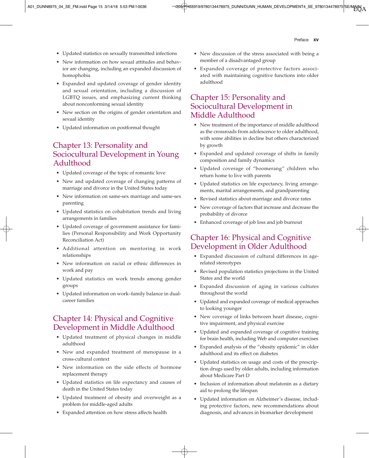Preface xv

- Updated statistics on sexually transmitted infections
- New information on how sexual attitudes and behavior are changing, including an expanded discussion of homophobia
- Expanded and updated coverage of gender identity and sexual orientation, including a discussion of LGBTQ issues, and emphasizing current thinking about nonconforming sexual identity
- New section on the origins of gender orientation and sexual identity
- Updated information on postformal thought

#### Chapter 13: Personality and Sociocultural Development in Young Adulthood

- Updated coverage of the topic of romantic love
- New and updated coverage of changing patterns of marriage and divorce in the United States today
- New information on same-sex marriage and same-sex parenting
- Updated statistics on cohabitation trends and living arrangements in families
- Updated coverage of government assistance for families (Personal Responsibility and Work Opportunity Reconciliation Act)
- Additional attention on mentoring in work relationships
- New information on racial or ethnic differences in work and pay
- Updated statistics on work trends among gender groups
- Updated information on work–family balance in dualcareer families

### Chapter 14: Physical and Cognitive Development in Middle Adulthood

- Updated treatment of physical changes in middle adulthood
- New and expanded treatment of menopause in a cross-cultural context
- New information on the side effects of hormone replacement therapy
- Updated statistics on life expectancy and causes of death in the United States today
- Updated treatment of obesity and overweight as a problem for middle-aged adults
- Expanded attention on how stress affects health
- New discussion of the stress associated with being a member of a disadvantaged group
- Expanded coverage of protective factors associated with maintaining cognitive functions into older adulthood

#### Chapter 15: Personality and Sociocultural Development in Middle Adulthood

- New treatment of the importance of middle adulthood as the crossroads from adolescence to older adulthood, with some abilities in decline but others characterized by growth
- Expanded and updated coverage of shifts in family composition and family dynamics
- Updated coverage of "boomerang" children who return home to live with parents
- Updated statistics on life expectancy, living arrangements, marital arrangements, and grandparenting
- Revised statistics about marriage and divorce rates
- New coverage of factors that increase and decrease the probability of divorce
- Enhanced coverage of job loss and job burnout

#### Chapter 16: Physical and Cognitive Development in Older Adulthood

- Expanded discussion of cultural differences in agerelated stereotypes
- Revised population statistics projections in the United States and the world
- Expanded discussion of aging in various cultures throughout the world
- Updated and expanded coverage of medical approaches to looking younger
- New coverage of links between heart disease, cognitive impairment, and physical exercise
- Updated and expanded coverage of cognitive training for brain health, including Web and computer exercises
- Expanded analysis of the "obesity epidemic" in older adulthood and its effect on diabetes
- Updated statistics on usage and costs of the prescription drugs used by older adults, including information about Medicare Part D
- Inclusion of information about melatonin as a dietary aid to prolong the lifespan
- Updated information on Alzheimer's disease, including protective factors, new recommendations about diagnosis, and advances in biomarker development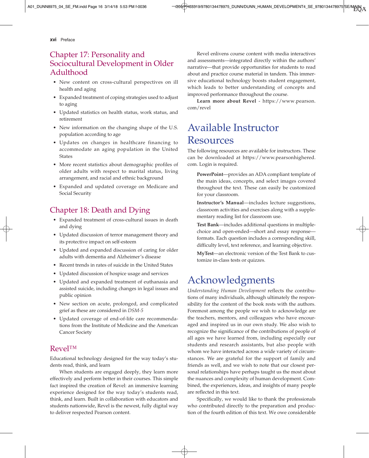xvi Preface

#### Chapter 17: Personality and Sociocultural Development in Older Adulthood

- New content on cross-cultural perspectives on ill health and aging
- Expanded treatment of coping strategies used to adjust to aging
- Updated statistics on health status, work status, and retirement
- New information on the changing shape of the U.S. population according to age
- Updates on changes in healthcare financing to accommodate an aging population in the United States
- More recent statistics about demographic profiles of older adults with respect to marital status, living arrangement, and racial and ethnic background
- Expanded and updated coverage on Medicare and Social Security

#### Chapter 18: Death and Dying

- Expanded treatment of cross-cultural issues in death and dying
- Updated discussion of terror management theory and its protective impact on self-esteem
- Updated and expanded discussion of caring for older adults with dementia and Alzheimer's disease
- Recent trends in rates of suicide in the United States
- Updated discussion of hospice usage and services
- Updated and expanded treatment of euthanasia and assisted suicide, including changes in legal issues and public opinion
- New section on acute, prolonged, and complicated grief as these are considered in *DSM-5*
- Updated coverage of end-of-life care recommendations from the Institute of Medicine and the American Cancer Society

#### Revel™

Educational technology designed for the way today's students read, think, and learn

When students are engaged deeply, they learn more effectively and perform better in their courses. This simple fact inspired the creation of Revel: an immersive learning experience designed for the way today's students read, think, and learn. Built in collaboration with educators and students nationwide, Revel is the newest, fully digital way to deliver respected Pearson content.

Revel enlivens course content with media interactives and assessments—integrated directly within the authors' narrative—that provide opportunities for students to read about and practice course material in tandem. This immersive educational technology boosts student engagement, which leads to better understanding of concepts and improved performance throughout the course.

**Learn more about Revel** - https://www.pearson. com/revel

### Available Instructor **Resources**

The following resources are available for instructors. These can be downloaded at https://www.pearsonhighered. com. Login is required.

**PowerPoint**—provides an ADA compliant template of the main ideas, concepts, and select images covered throughout the text. These can easily be customized for your classroom.

**Instructor's Manual**—includes lecture suggestions, classroom activities and exercises along with a supplementary reading list for classroom use.

**Test Bank**—includes additional questions in multiplechoice and open-ended—short and essay response formats. Each question includes a corresponding skill, difficulty level, text reference, and learning objective.

**MyTest**—an electronic version of the Test Bank to customize in-class tests or quizzes.

### Acknowledgments

*Understanding Human Development* reflects the contributions of many individuals, although ultimately the responsibility for the content of the book rests with the authors. Foremost among the people we wish to acknowledge are the teachers, mentors, and colleagues who have encouraged and inspired us in our own study. We also wish to recognize the significance of the contributions of people of all ages we have learned from, including especially our students and research assistants, but also people with whom we have interacted across a wide variety of circumstances. We are grateful for the support of family and friends as well, and we wish to note that our closest personal relationships have perhaps taught us the most about the nuances and complexity of human development. Combined, the experiences, ideas, and insights of many people are reflected in this text.

Specifically, we would like to thank the professionals who contributed directly to the preparation and production of the fourth edition of this text. We owe considerable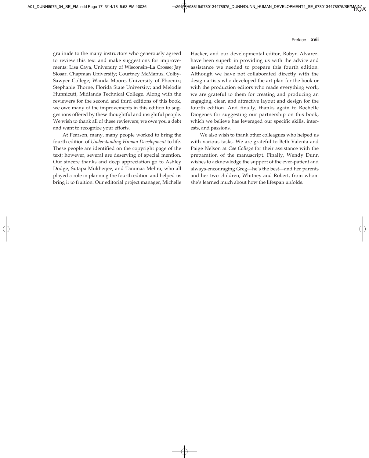#### Preface xvii

gratitude to the many instructors who generously agreed to review this text and make suggestions for improvements: Lisa Caya, University of Wisconsin–La Crosse; Jay Slosar, Chapman University; Courtney McManus, Colby-Sawyer College; Wanda Moore, University of Phoenix; Stephanie Thorne, Florida State University; and Melodie Hunnicutt, Midlands Technical College. Along with the reviewers for the second and third editions of this book, we owe many of the improvements in this edition to suggestions offered by these thoughtful and insightful people. We wish to thank all of these reviewers; we owe you a debt and want to recognize your efforts.

At Pearson, many, many people worked to bring the fourth edition of *Understanding Human Development* to life. These people are identified on the copyright page of the text; however, several are deserving of special mention. Our sincere thanks and deep appreciation go to Ashley Dodge, Sutapa Mukherjee, and Tanimaa Mehra, who all played a role in planning the fourth edition and helped us bring it to fruition. Our editorial project manager, Michelle

Hacker, and our developmental editor, Robyn Alvarez, have been superb in providing us with the advice and assistance we needed to prepare this fourth edition. Although we have not collaborated directly with the design artists who developed the art plan for the book or with the production editors who made everything work, we are grateful to them for creating and producing an engaging, clear, and attractive layout and design for the fourth edition. And finally, thanks again to Rochelle Diogenes for suggesting our partnership on this book, which we believe has leveraged our specific skills, interests, and passions.

We also wish to thank other colleagues who helped us with various tasks. We are grateful to Beth Valenta and Paige Nelson at *Coe College* for their assistance with the preparation of the manuscript. Finally, Wendy Dunn wishes to acknowledge the support of the ever-patient and always-encouraging Greg—he's the best—and her parents and her two children, Whitney and Robert, from whom she's learned much about how the lifespan unfolds.